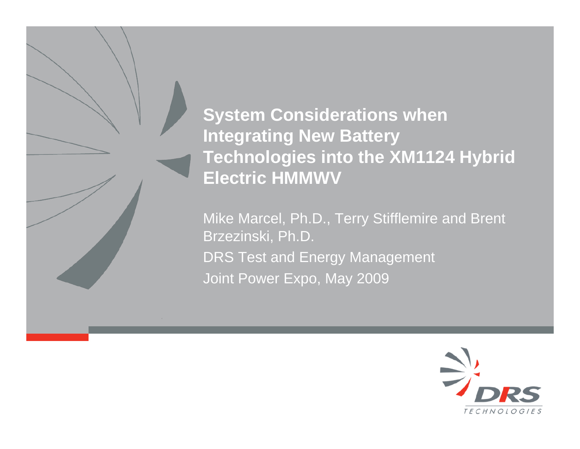**System Considerations when Integrating New Battery Technologies into the XM1124 Hybrid Electric HMMWV**

Mike Marcel, Ph.D., Terry Stifflemire and Brent Brzezinski, Ph.D. DRS Test and Energy Management Joint Power Expo, May 2009

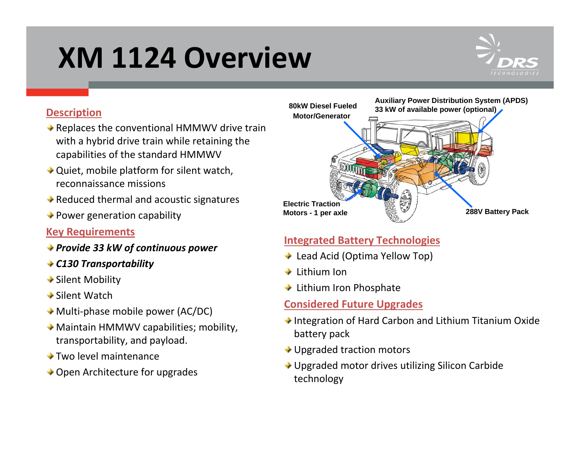# **XM 1124 Overview**



#### **Description**

- ◆ Replaces the conventional HMMWV drive train with <sup>a</sup> hybrid drive train while retaining the capabilities of the standard HMMWV
- ◆ Quiet, mobile platform for silent watch, reconnaissance missions
- Reduced thermal and acoustic signatures
- Power generation capability

#### **Key Requirements**

- *Provide 33 kW of continuous power*
- *C130 Transportability*
- Silent Mobility
- Silent Watch
- ◆ Multi-phase mobile power (AC/DC)
- Maintain HMMWV capabilities; mobility, transportability, and payload.
- Two level maintenance
- ◆ Open Architecture for upgrades



### **Integrated Battery Technologies**

- Lead Acid (Optima Yellow Top)
- Lithium Ion
- Lithium Iron Phosphate

#### **Considered Future Upgrades**

- ◆ Integration of Hard Carbon and Lithium Titanium Oxide battery pack
- ◆ Upgraded traction motors
- ◆ Upgraded motor drives utilizing Silicon Carbide technology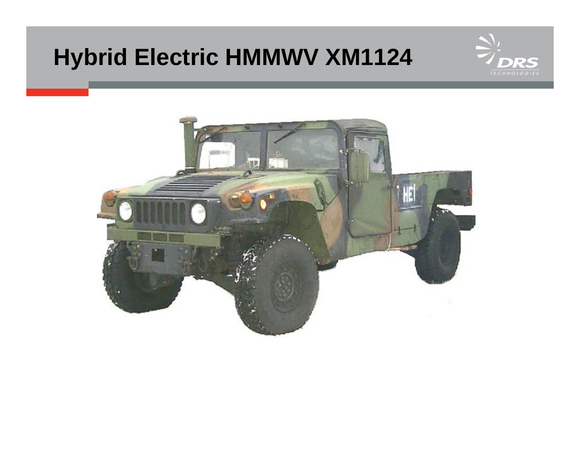## **Hybrid Electric HMMWV XM1124**



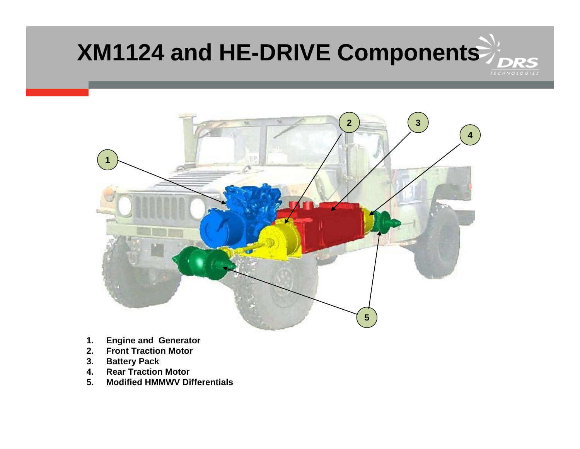### **XM1124 and HE-DRIVE ComponentsRS**



- **1. Engine and Generator**
- **2. Front Traction Motor**
- **3. Battery Pack**
- **4. Rear Traction Motor**
- **5. Modified HMMWV Differentials**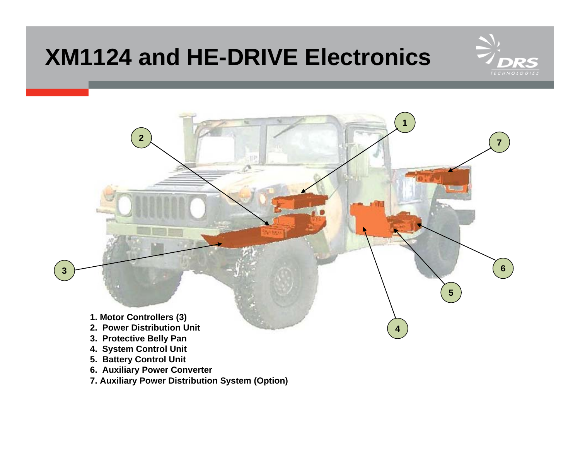### **XM1124 and HE-DRIVE Electronics**





- **6. Auxiliary Power Converter**
- **7. Auxiliary Power Distribution System (Option)**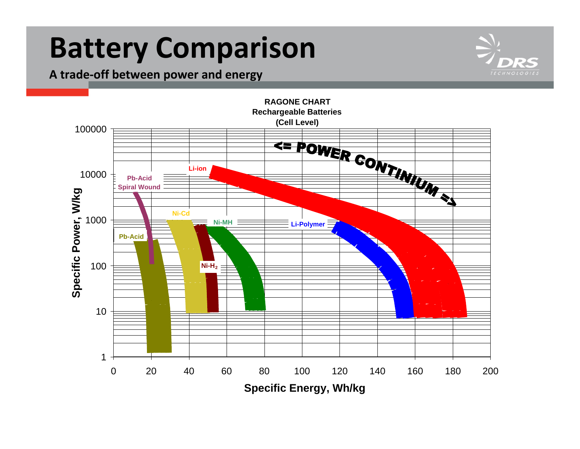## **Battery Comparison**

**A trade‐off between power and energy**



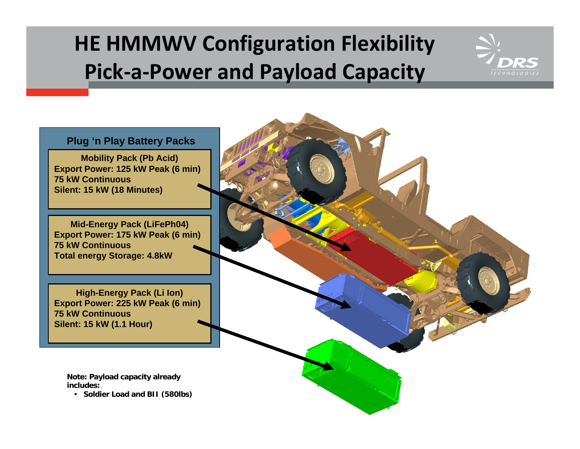### **HE HMMWV Configuration Flexibility Pick‐a‐Power and Payload Capacity**



**Plug 'n Play Battery Packs**

**Mobility Pack (Pb Acid) Export Power: 125 kW Peak (6 min) 75 kW Continuous Silent: 15 kW (18 Minutes)**

**Mid-Energy Pack (LiFePh04) Export Power: 175 kW Peak (6 min) 75 kW Continuous Total energy Storage: 4.8kW**

**High-Energy Pack (Li Ion) Export Power: 225 kW Peak (6 min) 75 kW Continuous Silent: 15 kW (1.1 Hour)**

**Note: Payload capacity already includes:**

• **Soldier Load and BII (580lbs)**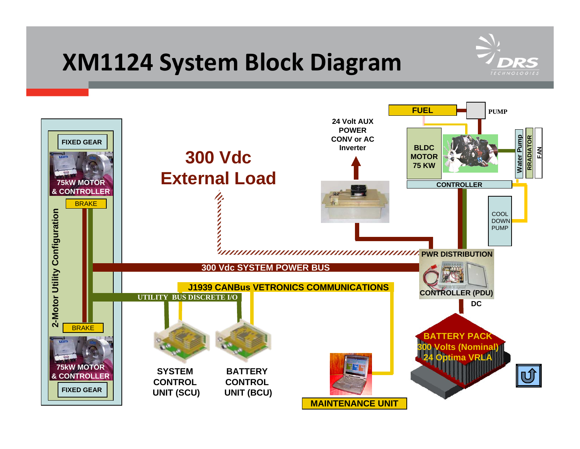### **XM1124 System Block Diagram**



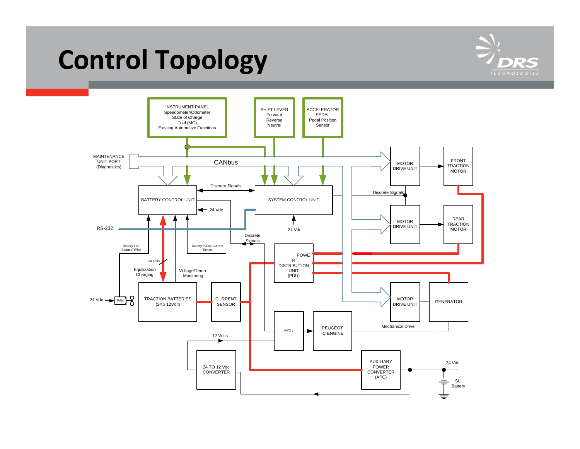## **Control Topology**



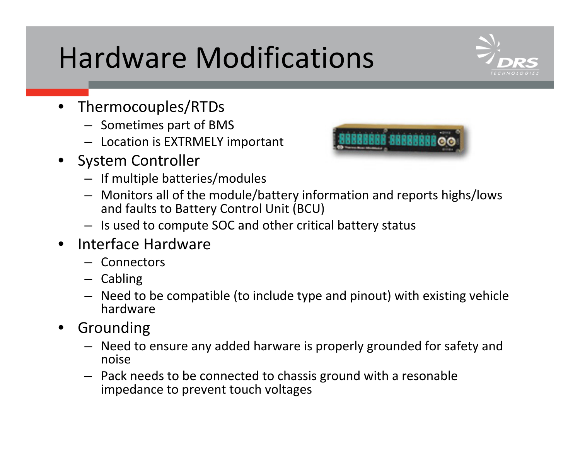# Hardware Modifications

- Thermocouples/RTDs
	- Sometimes part of BMS
	- Location is EXTRMELY important
- System Controller
	- If multiple batteries/modules
	- Monitors all of the module/battery information and reports highs/lows and faults to Battery Control Unit (BCU)
	- Is used to compute SOC and other critical battery status
- Interface Hardware
	- Connectors
	- Cabling
	- Need to be compatible (to include type and pinout) with existing vehicle hardware
- **Grounding** 
	- Need to ensure any added harware is properly grounded for safety and noise
	- Pack needs to be connected to chassis ground with <sup>a</sup> resonable impedance to prevent touch voltages

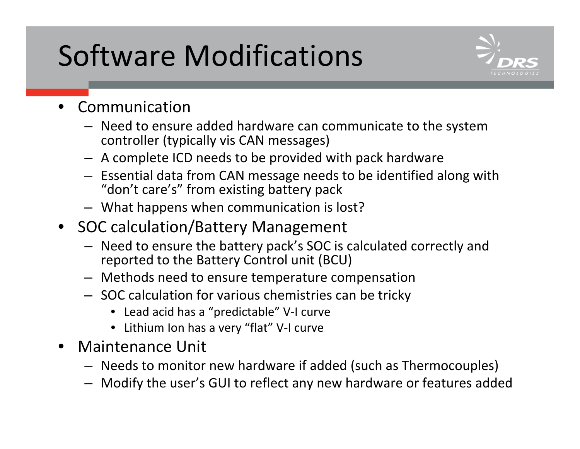# Software Modifications



- Communication
	- Need to ensure added hardware can communicate to the system controller (typically vis CAN messages)
	- A complete ICD needs to be provided with pack hardware
	- Essential data from CAN message needs to be identified along with "don't care's" from existing battery pack
	- What happens when communication is lost?
- SOC calculation/Battery Management
	- Need to ensure the battery pack's SOC is calculated correctly and reported to the Battery Control unit (BCU)
	- Methods need to ensure temperature compensation
	- SOC calculation for various chemistries can be tricky
		- Lead acid has <sup>a</sup> "predictable" V‐I curve
		- Lithium Ion has <sup>a</sup> very "flat" V‐I curve
- Maintenance Unit
	- Needs to monitor new hardware if added (such as Thermocouples)
	- Modify the user's GUI to reflect any new hardware or features added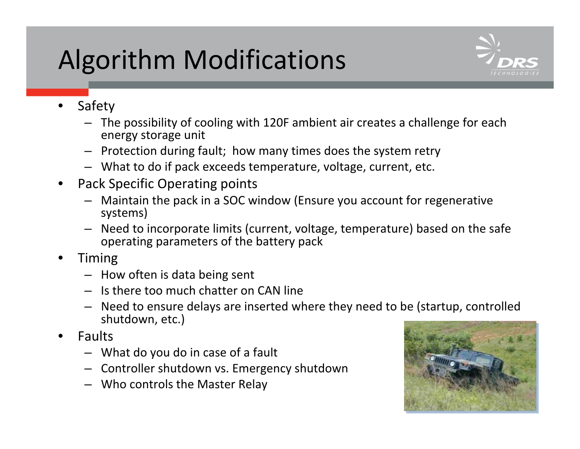## Algorithm Modifications



- Safety
	- The possibility of cooling with 120F ambient air creates <sup>a</sup> challenge for each energy storage unit
	- Protection during fault; how many times does the system retry
	- What to do if pack exceeds temperature, voltage, current, etc.
- Pack Specific Operating points
	- Maintain the pack in <sup>a</sup> SOC window (Ensure you account for regenerative systems)
	- Need to incorporate limits (current, voltage, temperature) based on the safe operating parameters of the battery pack
- Timing
	- How often is data being sent
	- Is there too much chatter on CAN line
	- Need to ensure delays are inserted where they need to be (startup, controlled shutdown, etc.)
- Faults
	- What do you do in case of <sup>a</sup> fault
	- Controller shutdown vs. Emergency shutdown
	- Who controls the Master Relay

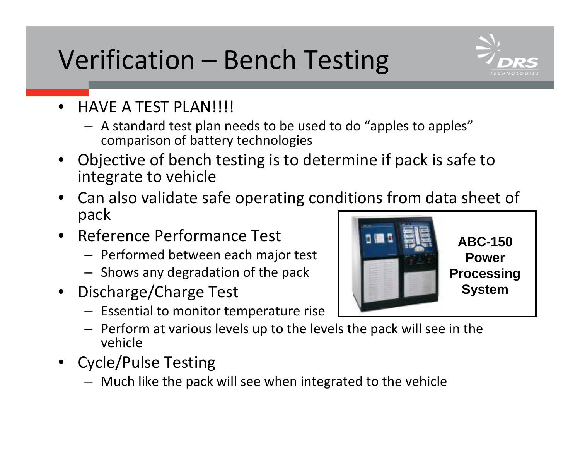## Verification – Bench Testing



- HAVE A TEST PLAN!!!!
	- A standard test plan needs to be used to do "apples to apples" comparison of battery technologies
- Objective of bench testing is to determine if pack is safe to integrate to vehicle
- Can also validate safe operating conditions from data sheet of pack
- Reference Performance Test
	- Performed between each major test
	- Shows any degradation of the pack
- Discharge/Charge Test
	- Essential to monitor temperature rise
	- Perform at various levels up to the levels the pack will see in the vehicle
- Cycle/Pulse Testing
	- Much like the pack will see when integrated to the vehicle

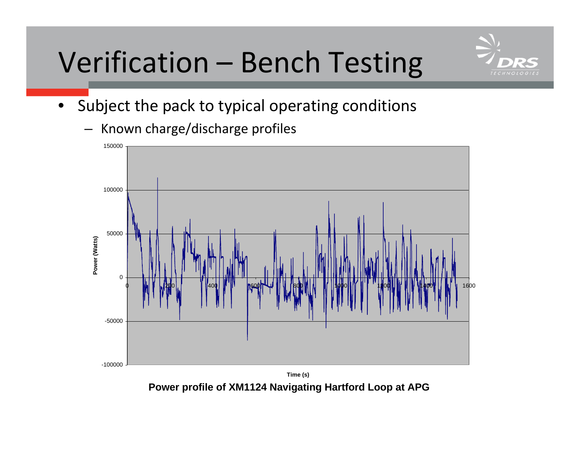# Verification – Bench Testing



• Subject the pack to typical operating conditions

– Known charge/discharge profiles



**Power profile of XM1124 Navigating Hartford Loop at APG**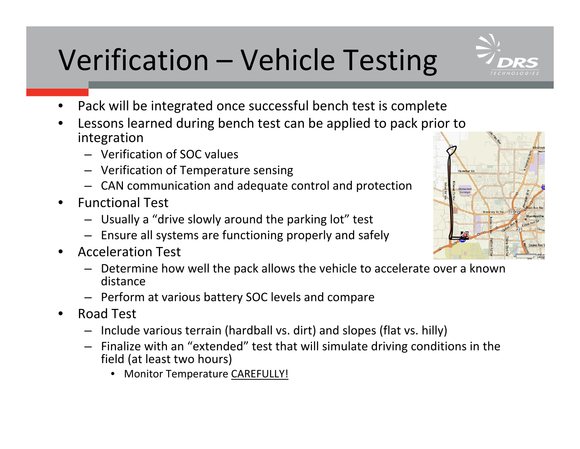# Verification – Vehicle Testing

- Pack will be integrated once successful bench test is complete
- Lessons learned during bench test can be applied to pack prior to integration
	- Verification of SOC values
	- Verification of Temperature sensing
	- CAN communication and adequate control and protection
- Functional Test
	- Usually <sup>a</sup> "drive slowly around the parking lot" test
	- Ensure all systems are functioning properly and safely
- Acceleration Test
	- Determine how well the pack allows the vehicle to accelerate over <sup>a</sup> known distance
	- Perform at various battery SOC levels and compare
- Road Test
	- Include various terrain (hardball vs. dirt) and slopes (flat vs. hilly)
	- Finalize with an "extended" test that will simulate driving conditions in the field (at least two hours)
		- Monitor Temperature CAREFULLY!



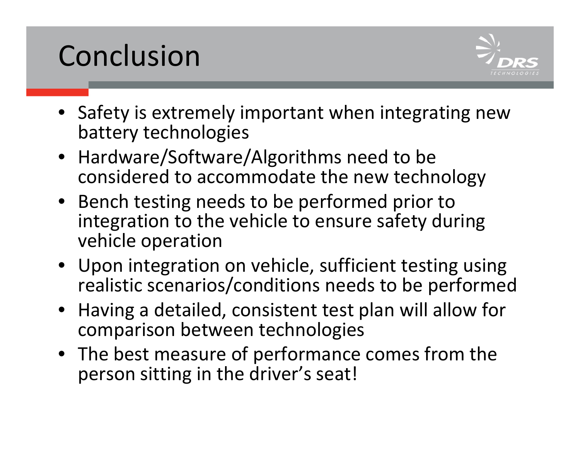# Conclusion



- Safety is extremely important when integrating new battery technologies
- Hardware/Software/Algorithms need to be considered to accommodate the new technology
- Bench testing needs to be performed prior to integration to the vehicle to ensure safety during vehicle operation
- Upon integration on vehicle, sufficient testing using realistic scenarios/conditions needs to be performed
- Having <sup>a</sup> detailed, consistent test plan will allow for comparison between technologies
- The best measure of performance comes from the person sitting in the driver's seat!